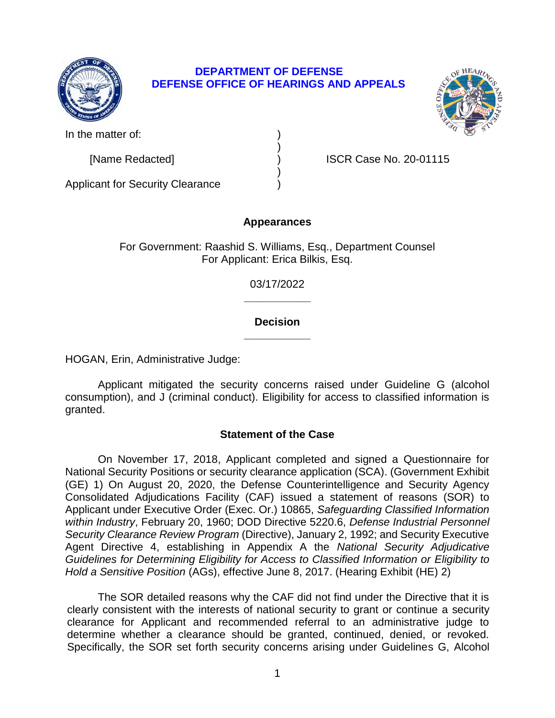

# **DEPARTMENT OF DEFENSE DEFENSE OFFICE OF HEARINGS AND APPEALS**

)

)



In the matter of:

[Name Redacted] ) ISCR Case No. 20-01115

Applicant for Security Clearance )

# **Appearances**

For Government: Raashid S. Williams, Esq., Department Counsel For Applicant: Erica Bilkis, Esq.

> **\_\_\_\_\_\_\_\_\_\_\_**  03/17/2022

# **\_\_\_\_\_\_\_\_\_\_\_ Decision**

HOGAN, Erin, Administrative Judge:

 Applicant mitigated the security concerns raised under Guideline G (alcohol consumption), and J (criminal conduct). Eligibility for access to classified information is granted.

# **Statement of the Case**

 On November 17, 2018, Applicant completed and signed a Questionnaire for National Security Positions or security clearance application (SCA). (Government Exhibit (GE) 1) On August 20, 2020, the Defense Counterintelligence and Security Agency Consolidated Adjudications Facility (CAF) issued a statement of reasons (SOR) to  *Security Clearance Review Program* (Directive), January 2, 1992; and Security Executive Agent Directive 4, establishing in Appendix A the *National Security Adjudicative Guidelines for Determining Eligibility for Access to Classified Information or Eligibility to*  Applicant under Executive Order (Exec. Or.) 10865, *Safeguarding Classified Information within Industry*, February 20, 1960; DOD Directive 5220.6, *Defense Industrial Personnel Hold a Sensitive Position* (AGs), effective June 8, 2017. (Hearing Exhibit (HE) 2)

 The SOR detailed reasons why the CAF did not find under the Directive that it is clearly consistent with the interests of national security to grant or continue a security clearance for Applicant and recommended referral to an administrative judge to determine whether a clearance should be granted, continued, denied, or revoked. Specifically, the SOR set forth security concerns arising under Guidelines G, Alcohol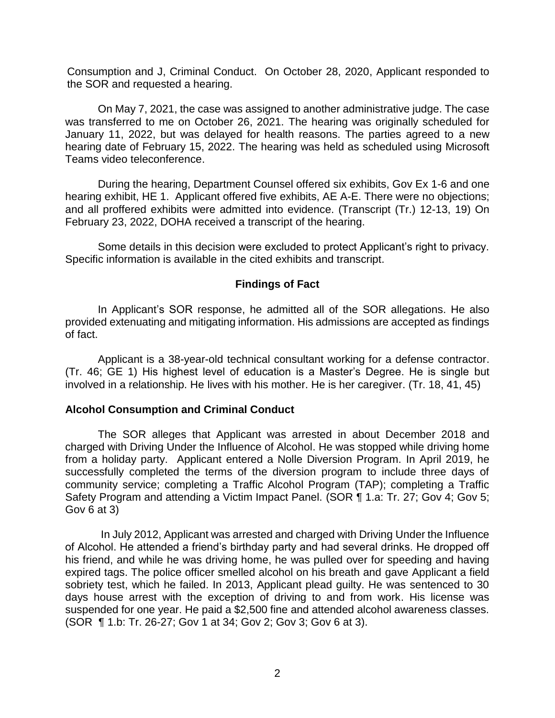Consumption and J, Criminal Conduct. On October 28, 2020, Applicant responded to the SOR and requested a hearing.

 On May 7, 2021, the case was assigned to another administrative judge. The case was transferred to me on October 26, 2021. The hearing was originally scheduled for January 11, 2022, but was delayed for health reasons. The parties agreed to a new hearing date of February 15, 2022. The hearing was held as scheduled using Microsoft Teams video teleconference.

 During the hearing, Department Counsel offered six exhibits, Gov Ex 1-6 and one hearing exhibit, HE 1. Applicant offered five exhibits, AE A-E. There were no objections; and all proffered exhibits were admitted into evidence. (Transcript (Tr.) 12-13, 19) On February 23, 2022, DOHA received a transcript of the hearing.

 Specific information is available in the cited exhibits and transcript. Some details in this decision were excluded to protect Applicant's right to privacy.

#### **Findings of Fact**

 In Applicant's SOR response, he admitted all of the SOR allegations. He also provided extenuating and mitigating information. His admissions are accepted as findings of fact.

 Applicant is a 38-year-old technical consultant working for a defense contractor. (Tr. 46; GE 1) His highest level of education is a Master's Degree. He is single but involved in a relationship. He lives with his mother. He is her caregiver. (Tr. 18, 41, 45)

#### **Alcohol Consumption and Criminal Conduct**

 The SOR alleges that Applicant was arrested in about December 2018 and from a holiday party. Applicant entered a Nolle Diversion Program. In April 2019, he successfully completed the terms of the diversion program to include three days of community service; completing a Traffic Alcohol Program (TAP); completing a Traffic Safety Program and attending a Victim Impact Panel. (SOR ¶ 1.a: Tr. 27; Gov 4; Gov 5; charged with Driving Under the Influence of Alcohol. He was stopped while driving home Gov 6 at 3)

In July 2012, Applicant was arrested and charged with Driving Under the Influence of Alcohol. He attended a friend's birthday party and had several drinks. He dropped off his friend, and while he was driving home, he was pulled over for speeding and having expired tags. The police officer smelled alcohol on his breath and gave Applicant a field sobriety test, which he failed. In 2013, Applicant plead guilty. He was sentenced to 30 days house arrest with the exception of driving to and from work. His license was suspended for one year. He paid a \$2,500 fine and attended alcohol awareness classes. (SOR ¶ 1.b: Tr. 26-27; Gov 1 at 34; Gov 2; Gov 3; Gov 6 at 3).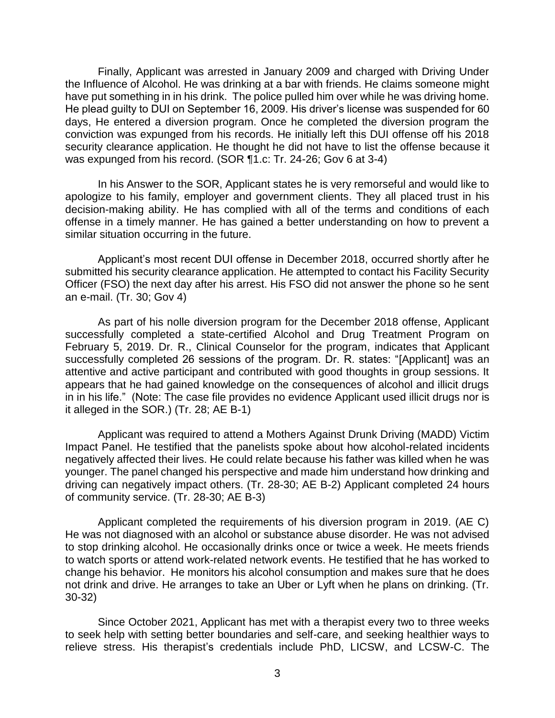Finally, Applicant was arrested in January 2009 and charged with Driving Under the Influence of Alcohol. He was drinking at a bar with friends. He claims someone might have put something in in his drink. The police pulled him over while he was driving home. He plead guilty to DUI on September 16, 2009. His driver's license was suspended for 60 days, He entered a diversion program. Once he completed the diversion program the conviction was expunged from his records. He initially left this DUI offense off his 2018 security clearance application. He thought he did not have to list the offense because it was expunged from his record. (SOR ¶1.c: Tr. 24-26; Gov 6 at 3-4)

 In his Answer to the SOR, Applicant states he is very remorseful and would like to apologize to his family, employer and government clients. They all placed trust in his decision-making ability. He has complied with all of the terms and conditions of each offense in a timely manner. He has gained a better understanding on how to prevent a similar situation occurring in the future.

 Applicant's most recent DUI offense in December 2018, occurred shortly after he submitted his security clearance application. He attempted to contact his Facility Security Officer (FSO) the next day after his arrest. His FSO did not answer the phone so he sent an e-mail. (Tr. 30; Gov 4)

 As part of his nolle diversion program for the December 2018 offense, Applicant successfully completed a state-certified Alcohol and Drug Treatment Program on February 5, 2019. Dr. R., Clinical Counselor for the program, indicates that Applicant successfully completed 26 sessions of the program. Dr. R. states: "[Applicant] was an attentive and active participant and contributed with good thoughts in group sessions. It appears that he had gained knowledge on the consequences of alcohol and illicit drugs in in his life." (Note: The case file provides no evidence Applicant used illicit drugs nor is it alleged in the SOR.) (Tr. 28; AE B-1)

 Applicant was required to attend a Mothers Against Drunk Driving (MADD) Victim Impact Panel. He testified that the panelists spoke about how alcohol-related incidents negatively affected their lives. He could relate because his father was killed when he was younger. The panel changed his perspective and made him understand how drinking and driving can negatively impact others. (Tr. 28-30; AE B-2) Applicant completed 24 hours of community service. (Tr. 28-30; AE B-3)

 Applicant completed the requirements of his diversion program in 2019. (AE C) to stop drinking alcohol. He occasionally drinks once or twice a week. He meets friends to watch sports or attend work-related network events. He testified that he has worked to change his behavior. He monitors his alcohol consumption and makes sure that he does not drink and drive. He arranges to take an Uber or Lyft when he plans on drinking. (Tr. He was not diagnosed with an alcohol or substance abuse disorder. He was not advised 30-32)

 Since October 2021, Applicant has met with a therapist every two to three weeks to seek help with setting better boundaries and self-care, and seeking healthier ways to relieve stress. His therapist's credentials include PhD, LICSW, and LCSW-C. The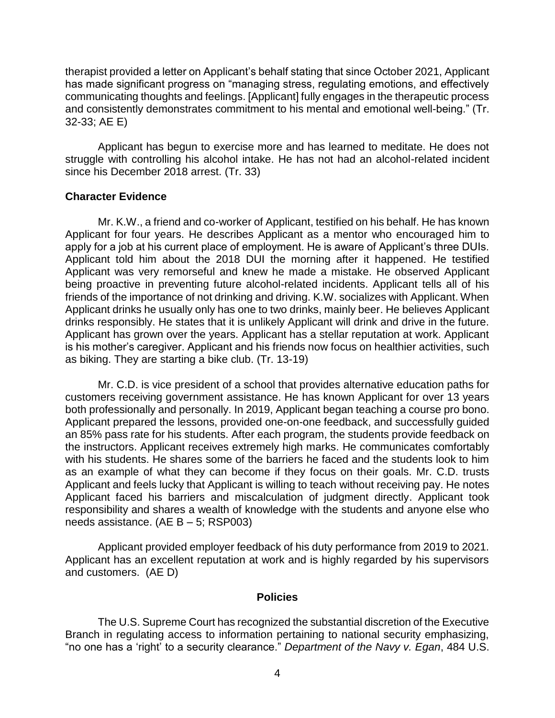therapist provided a letter on Applicant's behalf stating that since October 2021, Applicant has made significant progress on "managing stress, regulating emotions, and effectively communicating thoughts and feelings. [Applicant] fully engages in the therapeutic process and consistently demonstrates commitment to his mental and emotional well-being." (Tr. 32-33; AE E)

 Applicant has begun to exercise more and has learned to meditate. He does not struggle with controlling his alcohol intake. He has not had an alcohol-related incident since his December 2018 arrest. (Tr. 33)

### **Character Evidence**

 Mr. K.W., a friend and co-worker of Applicant, testified on his behalf. He has known Applicant for four years. He describes Applicant as a mentor who encouraged him to apply for a job at his current place of employment. He is aware of Applicant's three DUIs. Applicant told him about the 2018 DUI the morning after it happened. He testified Applicant was very remorseful and knew he made a mistake. He observed Applicant being proactive in preventing future alcohol-related incidents. Applicant tells all of his friends of the importance of not drinking and driving. K.W. socializes with Applicant. When Applicant drinks he usually only has one to two drinks, mainly beer. He believes Applicant drinks responsibly. He states that it is unlikely Applicant will drink and drive in the future. Applicant has grown over the years. Applicant has a stellar reputation at work. Applicant is his mother's caregiver. Applicant and his friends now focus on healthier activities, such as biking. They are starting a bike club. (Tr. 13-19)

 both professionally and personally. In 2019, Applicant began teaching a course pro bono. the instructors. Applicant receives extremely high marks. He communicates comfortably with his students. He shares some of the barriers he faced and the students look to him as an example of what they can become if they focus on their goals. Mr. C.D. trusts Applicant and feels lucky that Applicant is willing to teach without receiving pay. He notes Applicant faced his barriers and miscalculation of judgment directly. Applicant took responsibility and shares a wealth of knowledge with the students and anyone else who needs assistance. (AE B – 5; RSP003) Mr. C.D. is vice president of a school that provides alternative education paths for customers receiving government assistance. He has known Applicant for over 13 years Applicant prepared the lessons, provided one-on-one feedback, and successfully guided an 85% pass rate for his students. After each program, the students provide feedback on

 Applicant provided employer feedback of his duty performance from 2019 to 2021. Applicant has an excellent reputation at work and is highly regarded by his supervisors and customers. (AE D)

#### **Policies**

 The U.S. Supreme Court has recognized the substantial discretion of the Executive Branch in regulating access to information pertaining to national security emphasizing, "no one has a 'right' to a security clearance." *Department of the Navy v. Egan*, 484 U.S.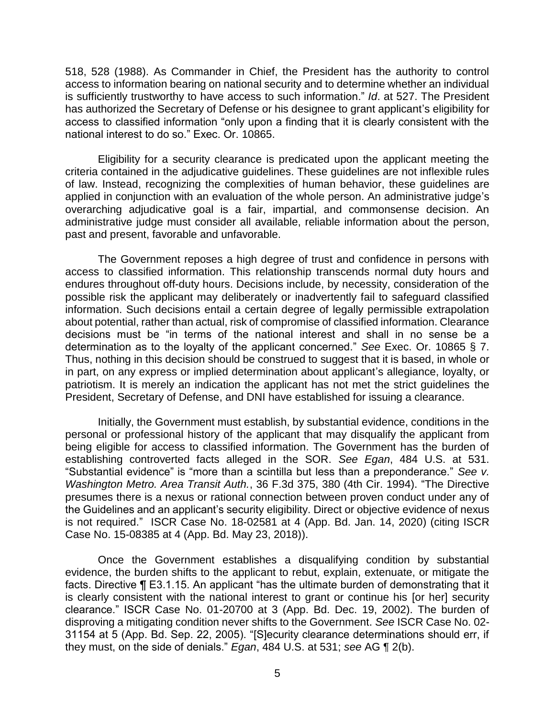518, 528 (1988). As Commander in Chief, the President has the authority to control access to information bearing on national security and to determine whether an individual is sufficiently trustworthy to have access to such information." *Id*. at 527. The President has authorized the Secretary of Defense or his designee to grant applicant's eligibility for access to classified information "only upon a finding that it is clearly consistent with the national interest to do so." Exec. Or. 10865.

 Eligibility for a security clearance is predicated upon the applicant meeting the criteria contained in the adjudicative guidelines. These guidelines are not inflexible rules of law. Instead, recognizing the complexities of human behavior, these guidelines are applied in conjunction with an evaluation of the whole person. An administrative judge's overarching adjudicative goal is a fair, impartial, and commonsense decision. An administrative judge must consider all available, reliable information about the person, past and present, favorable and unfavorable.

 The Government reposes a high degree of trust and confidence in persons with access to classified information. This relationship transcends normal duty hours and endures throughout off-duty hours. Decisions include, by necessity, consideration of the possible risk the applicant may deliberately or inadvertently fail to safeguard classified information. Such decisions entail a certain degree of legally permissible extrapolation about potential, rather than actual, risk of compromise of classified information. Clearance decisions must be "in terms of the national interest and shall in no sense be a determination as to the loyalty of the applicant concerned." *See* Exec. Or. 10865 § 7. Thus, nothing in this decision should be construed to suggest that it is based, in whole or in part, on any express or implied determination about applicant's allegiance, loyalty, or patriotism. It is merely an indication the applicant has not met the strict guidelines the President, Secretary of Defense, and DNI have established for issuing a clearance.

 Initially, the Government must establish, by substantial evidence, conditions in the personal or professional history of the applicant that may disqualify the applicant from being eligible for access to classified information. The Government has the burden of establishing controverted facts alleged in the SOR. *See Egan*, 484 U.S. at 531. "Substantial evidence" is "more than a scintilla but less than a preponderance." *See v. Washington Metro. Area Transit Auth.*, 36 F.3d 375, 380 (4th Cir. 1994). "The Directive presumes there is a nexus or rational connection between proven conduct under any of the Guidelines and an applicant's security eligibility. Direct or objective evidence of nexus is not required." ISCR Case No. 18-02581 at 4 (App. Bd. Jan. 14, 2020) (citing ISCR Case No. 15-08385 at 4 (App. Bd. May 23, 2018)).

Once the Government establishes a disqualifying condition by substantial evidence, the burden shifts to the applicant to rebut, explain, extenuate, or mitigate the facts. Directive ¶ E3.1.15. An applicant "has the ultimate burden of demonstrating that it is clearly consistent with the national interest to grant or continue his [or her] security clearance." ISCR Case No. 01-20700 at 3 (App. Bd. Dec. 19, 2002). The burden of disproving a mitigating condition never shifts to the Government. *See* ISCR Case No. 02- 31154 at 5 (App. Bd. Sep. 22, 2005). "[S]ecurity clearance determinations should err, if they must, on the side of denials." *Egan*, 484 U.S. at 531; *see* AG ¶ 2(b).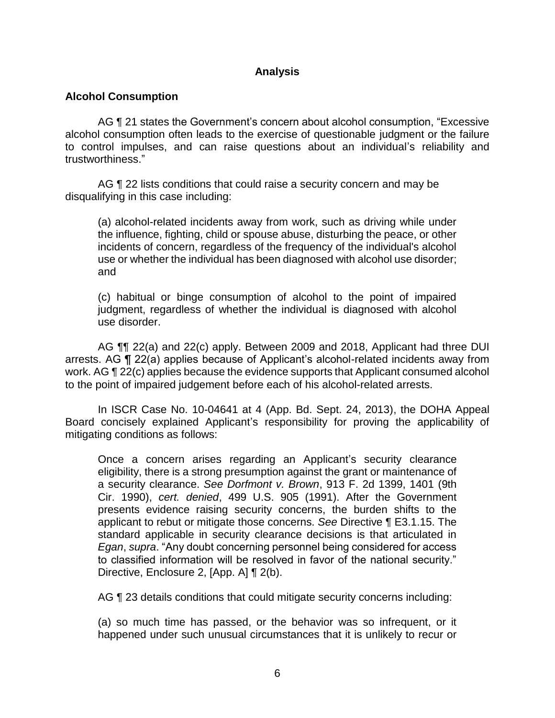## **Analysis**

## **Alcohol Consumption**

 AG ¶ 21 states the Government's concern about alcohol consumption, "Excessive alcohol consumption often leads to the exercise of questionable judgment or the failure to control impulses, and can raise questions about an individual's reliability and trustworthiness."

AG ¶ 22 lists conditions that could raise a security concern and may be disqualifying in this case including:

(a) alcohol-related incidents away from work, such as driving while under the influence, fighting, child or spouse abuse, disturbing the peace, or other incidents of concern, regardless of the frequency of the individual's alcohol use or whether the individual has been diagnosed with alcohol use disorder; and

(c) habitual or binge consumption of alcohol to the point of impaired judgment, regardless of whether the individual is diagnosed with alcohol use disorder.

AG  $\P$  22(a) and 22(c) apply. Between 2009 and 2018, Applicant had three DUI arrests. AG ¶ 22(a) applies because of Applicant's alcohol-related incidents away from work. AG ¶ 22(c) applies because the evidence supports that Applicant consumed alcohol to the point of impaired judgement before each of his alcohol-related arrests.

 In ISCR Case No. 10-04641 at 4 (App. Bd. Sept. 24, 2013), the DOHA Appeal Board concisely explained Applicant's responsibility for proving the applicability of mitigating conditions as follows:

Once a concern arises regarding an Applicant's security clearance eligibility, there is a strong presumption against the grant or maintenance of a security clearance. *See Dorfmont v. Brown*, 913 F. 2d 1399, 1401 (9th Cir. 1990), *cert. denied*, 499 U.S. 905 (1991). After the Government presents evidence raising security concerns, the burden shifts to the applicant to rebut or mitigate those concerns. *See* Directive ¶ E3.1.15. The standard applicable in security clearance decisions is that articulated in *Egan*, *supra*. "Any doubt concerning personnel being considered for access to classified information will be resolved in favor of the national security." Directive, Enclosure 2, [App. A] ¶ 2(b).

AG ¶ 23 details conditions that could mitigate security concerns including:

(a) so much time has passed, or the behavior was so infrequent, or it happened under such unusual circumstances that it is unlikely to recur or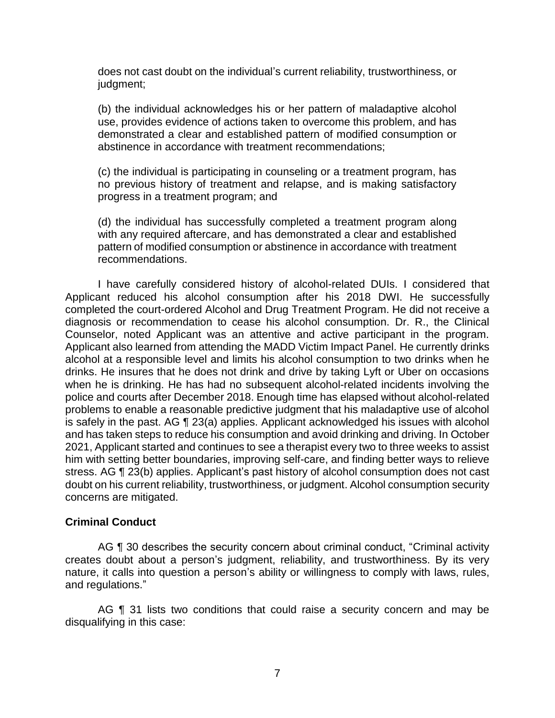does not cast doubt on the individual's current reliability, trustworthiness, or judgment;

(b) the individual acknowledges his or her pattern of maladaptive alcohol use, provides evidence of actions taken to overcome this problem, and has demonstrated a clear and established pattern of modified consumption or abstinence in accordance with treatment recommendations;

(c) the individual is participating in counseling or a treatment program, has no previous history of treatment and relapse, and is making satisfactory progress in a treatment program; and

(d) the individual has successfully completed a treatment program along with any required aftercare, and has demonstrated a clear and established pattern of modified consumption or abstinence in accordance with treatment recommendations.

 I have carefully considered history of alcohol-related DUIs. I considered that completed the court-ordered Alcohol and Drug Treatment Program. He did not receive a diagnosis or recommendation to cease his alcohol consumption. Dr. R., the Clinical Counselor, noted Applicant was an attentive and active participant in the program. Applicant also learned from attending the MADD Victim Impact Panel. He currently drinks alcohol at a responsible level and limits his alcohol consumption to two drinks when he drinks. He insures that he does not drink and drive by taking Lyft or Uber on occasions when he is drinking. He has had no subsequent alcohol-related incidents involving the police and courts after December 2018. Enough time has elapsed without alcohol-related problems to enable a reasonable predictive judgment that his maladaptive use of alcohol is safely in the past. AG ¶ 23(a) applies. Applicant acknowledged his issues with alcohol and has taken steps to reduce his consumption and avoid drinking and driving. In October 2021, Applicant started and continues to see a therapist every two to three weeks to assist him with setting better boundaries, improving self-care, and finding better ways to relieve Applicant reduced his alcohol consumption after his 2018 DWI. He successfully stress. AG ¶ 23(b) applies. Applicant's past history of alcohol consumption does not cast doubt on his current reliability, trustworthiness, or judgment. Alcohol consumption security concerns are mitigated.

### **Criminal Conduct**

AG ¶ 30 describes the security concern about criminal conduct, "Criminal activity creates doubt about a person's judgment, reliability, and trustworthiness. By its very nature, it calls into question a person's ability or willingness to comply with laws, rules, and regulations."

AG ¶ 31 lists two conditions that could raise a security concern and may be disqualifying in this case: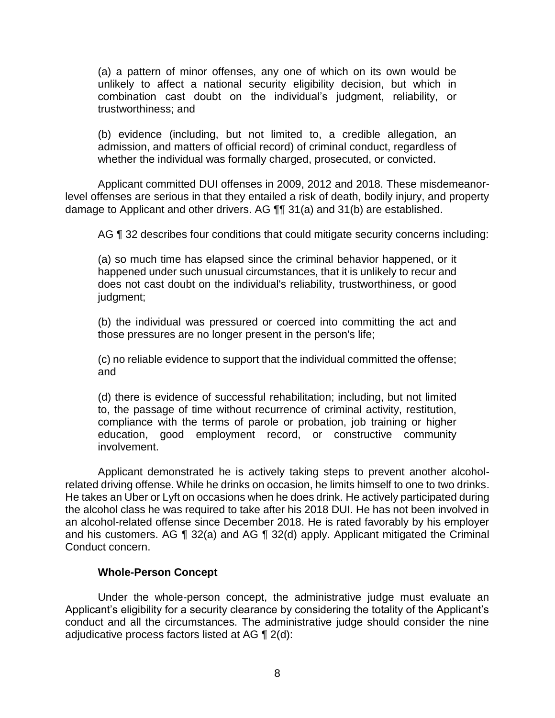(a) a pattern of minor offenses, any one of which on its own would be unlikely to affect a national security eligibility decision, but which in combination cast doubt on the individual's judgment, reliability, or trustworthiness; and

(b) evidence (including, but not limited to, a credible allegation, an admission, and matters of official record) of criminal conduct, regardless of whether the individual was formally charged, prosecuted, or convicted.

 level offenses are serious in that they entailed a risk of death, bodily injury, and property Applicant committed DUI offenses in 2009, 2012 and 2018. These misdemeanordamage to Applicant and other drivers. AG ¶¶ 31(a) and 31(b) are established.

AG ¶ 32 describes four conditions that could mitigate security concerns including:

(a) so much time has elapsed since the criminal behavior happened, or it happened under such unusual circumstances, that it is unlikely to recur and does not cast doubt on the individual's reliability, trustworthiness, or good judgment;

(b) the individual was pressured or coerced into committing the act and those pressures are no longer present in the person's life;

(c) no reliable evidence to support that the individual committed the offense; and

(d) there is evidence of successful rehabilitation; including, but not limited to, the passage of time without recurrence of criminal activity, restitution, compliance with the terms of parole or probation, job training or higher education, good employment record, or constructive community involvement.

 Applicant demonstrated he is actively taking steps to prevent another alcohol- related driving offense. While he drinks on occasion, he limits himself to one to two drinks. He takes an Uber or Lyft on occasions when he does drink. He actively participated during the alcohol class he was required to take after his 2018 DUI. He has not been involved in an alcohol-related offense since December 2018. He is rated favorably by his employer and his customers. AG  $\P$  32(a) and AG  $\P$  32(d) apply. Applicant mitigated the Criminal Conduct concern.

### **Whole-Person Concept**

Under the whole-person concept, the administrative judge must evaluate an Applicant's eligibility for a security clearance by considering the totality of the Applicant's conduct and all the circumstances. The administrative judge should consider the nine adjudicative process factors listed at AG ¶ 2(d):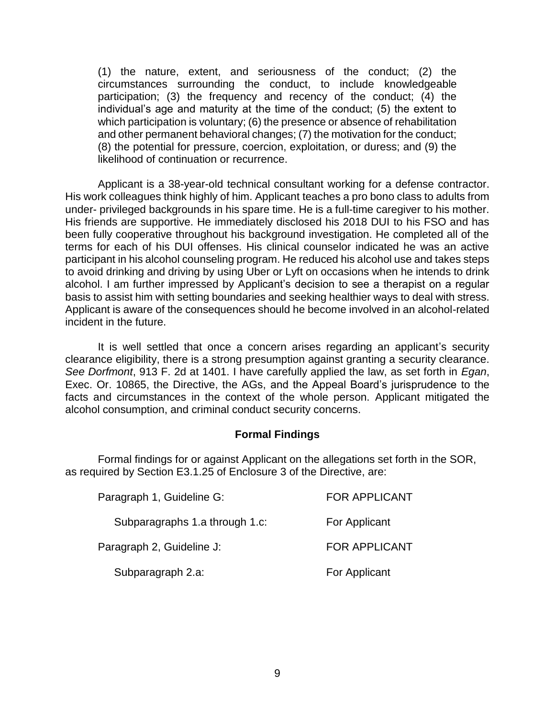(1) the nature, extent, and seriousness of the conduct; (2) the circumstances surrounding the conduct, to include knowledgeable participation; (3) the frequency and recency of the conduct; (4) the individual's age and maturity at the time of the conduct; (5) the extent to which participation is voluntary; (6) the presence or absence of rehabilitation and other permanent behavioral changes; (7) the motivation for the conduct; (8) the potential for pressure, coercion, exploitation, or duress; and (9) the likelihood of continuation or recurrence.

 Applicant is a 38-year-old technical consultant working for a defense contractor. His work colleagues think highly of him. Applicant teaches a pro bono class to adults from under- privileged backgrounds in his spare time. He is a full-time caregiver to his mother. His friends are supportive. He immediately disclosed his 2018 DUI to his FSO and has been fully cooperative throughout his background investigation. He completed all of the terms for each of his DUI offenses. His clinical counselor indicated he was an active participant in his alcohol counseling program. He reduced his alcohol use and takes steps to avoid drinking and driving by using Uber or Lyft on occasions when he intends to drink alcohol. I am further impressed by Applicant's decision to see a therapist on a regular basis to assist him with setting boundaries and seeking healthier ways to deal with stress. Applicant is aware of the consequences should he become involved in an alcohol-related incident in the future.

 It is well settled that once a concern arises regarding an applicant's security clearance eligibility, there is a strong presumption against granting a security clearance. *See Dorfmont*, 913 F. 2d at 1401. I have carefully applied the law, as set forth in *Egan*, Exec. Or. 10865, the Directive, the AGs, and the Appeal Board's jurisprudence to the facts and circumstances in the context of the whole person. Applicant mitigated the alcohol consumption, and criminal conduct security concerns.

#### **Formal Findings**

 as required by Section E3.1.25 of Enclosure 3 of the Directive, are: Formal findings for or against Applicant on the allegations set forth in the SOR,

| Paragraph 1, Guideline G:      | <b>FOR APPLICANT</b> |
|--------------------------------|----------------------|
| Subparagraphs 1.a through 1.c: | For Applicant        |
| Paragraph 2, Guideline J:      | <b>FOR APPLICANT</b> |
| Subparagraph 2.a:              | For Applicant        |